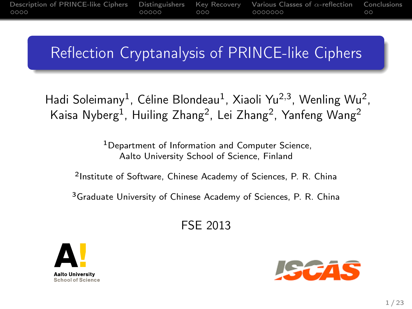# Reflection Cryptanalysis of PRINCE-like Ciphers

Hadi Soleimany<sup>1</sup>, Céline Blondeau<sup>1</sup>, Xiaoli Yu<sup>2,3</sup>, Wenling Wu<sup>2</sup>, Kaisa Nyberg $^1$ , Huiling Zhang $^2$ , Lei Zhang $^2$ , Yanfeng Wang $^2$ 

> <sup>1</sup>Department of Information and Computer Science, Aalto University School of Science, Finland

2 Institute of Software, Chinese Academy of Sciences, P. R. China

<sup>3</sup>Graduate University of Chinese Academy of Sciences, P. R. China

FSE 2013



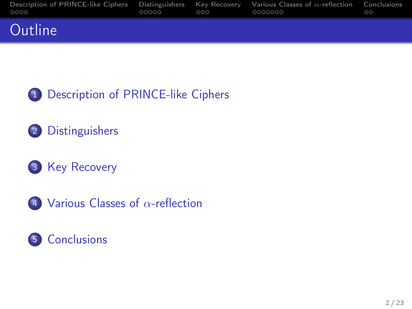| Description of PRINCE-like Ciphers Distinguishers Key Recovery Various Classes of $\alpha$ -reflection Conclusions<br>0000 | 00000 | $000-$ | 0000000 | $\circ$ |
|----------------------------------------------------------------------------------------------------------------------------|-------|--------|---------|---------|
| Outline                                                                                                                    |       |        |         |         |



- [Distinguishers](#page-19-0)
- [Key Recovery](#page-36-0)
- [Various Classes of](#page-42-0) α-reflection

### [Conclusions](#page-57-0)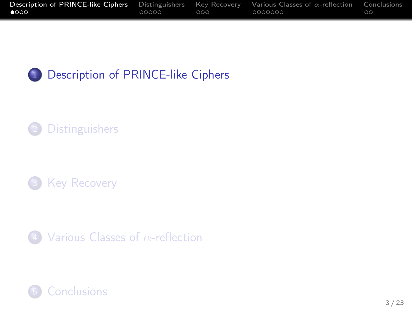| <b>Description of PRINCE-like Ciphers</b> Distinguishers Key Recovery Various Classes of $\alpha$ -reflection |       |     |         | Conclusions |
|---------------------------------------------------------------------------------------------------------------|-------|-----|---------|-------------|
| 0000                                                                                                          | 00000 | 000 | 0000000 | $\circ$     |



## [Distinguishers](#page-19-0)





<span id="page-2-0"></span>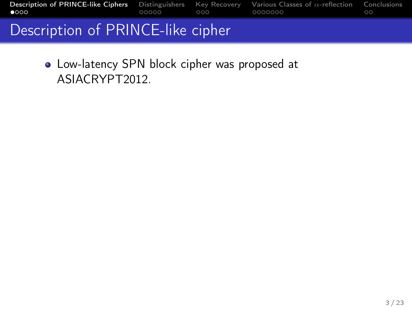| <b>Description of PRINCE-like Ciphers</b> Distinguishers Key Recovery Various Classes of $\alpha$ -reflection Conclusions |       |               |    |
|---------------------------------------------------------------------------------------------------------------------------|-------|---------------|----|
| 0000                                                                                                                      | 00000 | $000$ 0000000 | ററ |
|                                                                                                                           |       |               |    |

### Description of PRINCE-like cipher

Low-latency SPN block cipher was proposed at ASIACRYPT2012.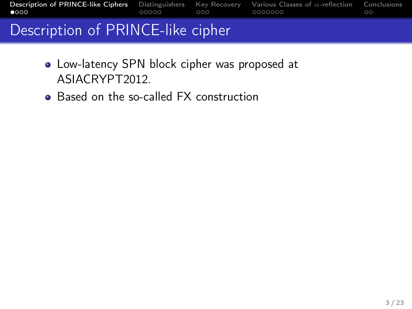| 0000                              |  | ററ |
|-----------------------------------|--|----|
| Description of DDINGE like sinker |  |    |

## Description of PRINCE-like cipher

- Low-latency SPN block cipher was proposed at ASIACRYPT2012.
- Based on the so-called FX construction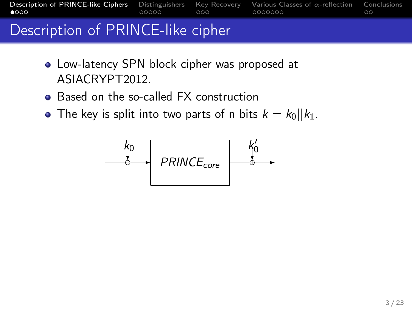[Description of PRINCE-like Ciphers](#page-2-0) [Distinguishers](#page-19-0) [Key Recovery](#page-36-0) [Various Classes of](#page-42-0) α-reflection [Conclusions](#page-57-0) 0000000

# Description of PRINCE-like cipher

- Low-latency SPN block cipher was proposed at ASIACRYPT2012.
- Based on the so-called FX construction
- The key is split into two parts of n bits  $k = k_0||k_1$ .

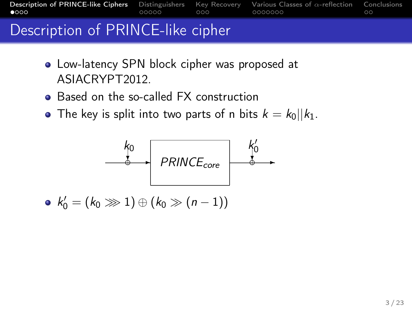# Description of PRINCE-like cipher

- Low-latency SPN block cipher was proposed at ASIACRYPT2012.
- Based on the so-called FX construction
- The key is split into two parts of n bits  $k = k_0||k_1$ .



 $k'_0 = (k_0 \ggg 1) \oplus (k_0 \gg (n-1))$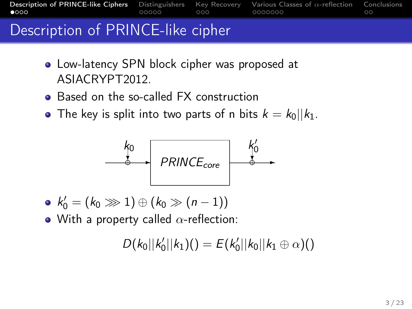[Description of PRINCE-like Ciphers](#page-2-0) [Distinguishers](#page-19-0) [Key Recovery](#page-36-0) [Various Classes of](#page-42-0) α-reflection [Conclusions](#page-57-0)  $\bullet$ 000 0000000

# Description of PRINCE-like cipher

- Low-latency SPN block cipher was proposed at ASIACRYPT2012.
- Based on the so-called FX construction
- The key is split into two parts of n bits  $k = k_0||k_1$ .



- $k'_0 = (k_0 \ggg 1) \oplus (k_0 \gg (n-1))$
- With a property called  $\alpha$ -reflection:

$$
D(k_0||k'_0||k_1)()=E(k'_0||k_0||k_1\oplus\alpha)()
$$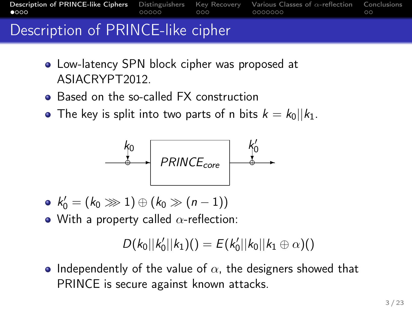[Description of PRINCE-like Ciphers](#page-2-0) [Distinguishers](#page-19-0) [Key Recovery](#page-36-0) [Various Classes of](#page-42-0) α-reflection [Conclusions](#page-57-0)  $0000$  $00000$ 0000000

# Description of PRINCE-like cipher

- Low-latency SPN block cipher was proposed at ASIACRYPT2012.
- Based on the so-called FX construction
- The key is split into two parts of n bits  $k = k_0||k_1$ .



- $k'_0 = (k_0 \ggg 1) \oplus (k_0 \gg (n-1))$
- With a property called  $\alpha$ -reflection:

$$
D(k_0||k'_0||k_1)()=E(k'_0||k_0||k_1\oplus\alpha)()
$$

• Independently of the value of  $\alpha$ , the designers showed that PRINCE is secure against known attacks.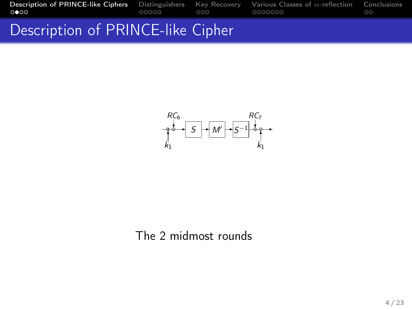# Description of PRINCE-like Cipher



### The 2 midmost rounds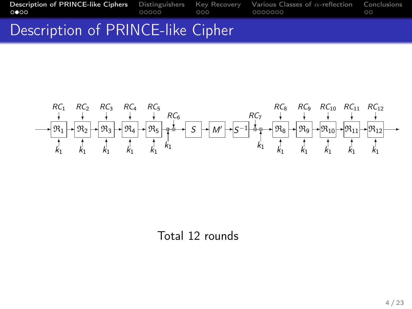## Description of PRINCE-like Cipher



Total 12 rounds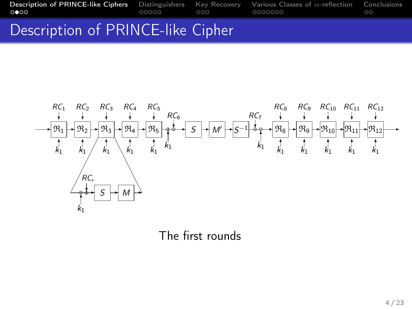## Description of PRINCE-like Cipher



The first rounds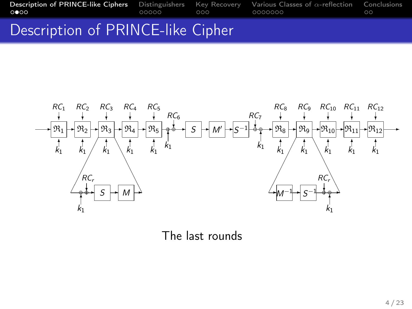## Description of PRINCE-like Cipher



The last rounds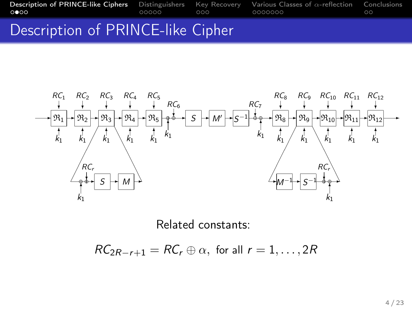## Description of PRINCE-like Cipher



Related constants:

 $RC_{2R-r+1} = RC_r \oplus \alpha$ , for all  $r = 1, \ldots, 2R$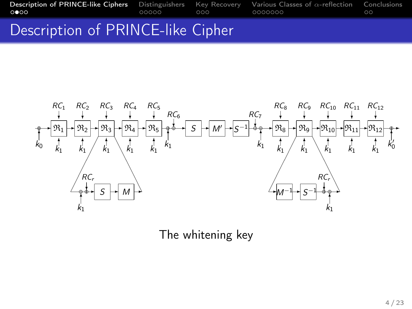[Description of PRINCE-like Ciphers](#page-2-0) [Distinguishers](#page-19-0) [Key Recovery](#page-36-0) [Various Classes of](#page-42-0) α-reflection [Conclusions](#page-57-0)

## Description of PRINCE-like Cipher



The whitening key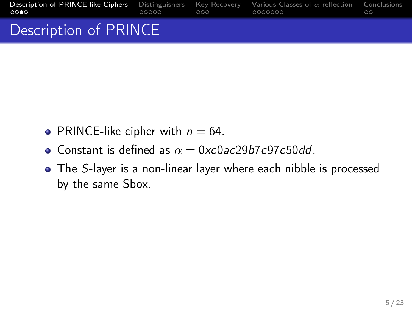| <b>Description of PRINCE-like Ciphers</b> Distinguishers Key Recovery Various Classes of $\alpha$ -reflection Conclusions<br><b>CODO</b> | 00000 | ada adaaaaa | ററ |
|------------------------------------------------------------------------------------------------------------------------------------------|-------|-------------|----|
| Description of PRINCE                                                                                                                    |       |             |    |

- PRINCE-like cipher with  $n = 64$ .
- Constant is defined as  $\alpha = 0 \times 0$  ac29b7c97c50dd.
- The S-layer is a non-linear layer where each nibble is processed by the same Sbox.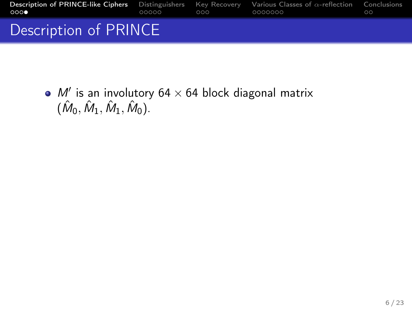| <b>Description of PRINCE-like Ciphers</b> Distinguishers Key Recovery Various Classes of $\alpha$ -reflection Conclusions<br>റററ | and and and an and an annual | ററ |
|----------------------------------------------------------------------------------------------------------------------------------|------------------------------|----|
| Description of PRINCE                                                                                                            |                              |    |

 $M'$  is an involutory 64  $\times$  64 block diagonal matrix  $(\hat{M}_0, \hat{M}_1, \hat{M}_1, \hat{M}_0).$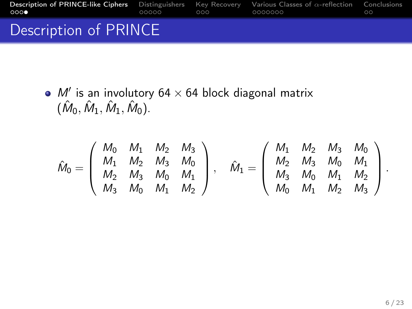| <b>Description of PRINCE-like Ciphers</b> Distinguishers Key Recovery Various Classes of $\alpha$ -reflection Conclusions<br>റററ | $\Omega$ $\Omega$ $\Omega$ | _0000000 | ററ |
|----------------------------------------------------------------------------------------------------------------------------------|----------------------------|----------|----|
| Description of PRINCE                                                                                                            |                            |          |    |

 $M'$  is an involutory 64  $\times$  64 block diagonal matrix  $(\hat{M}_0, \hat{M}_1, \hat{M}_1, \hat{M}_0).$ 

$$
\hat{M}_0 = \left(\begin{array}{cccc} M_0 & M_1 & M_2 & M_3 \\ M_1 & M_2 & M_3 & M_0 \\ M_2 & M_3 & M_0 & M_1 \\ M_3 & M_0 & M_1 & M_2 \end{array}\right), \quad \hat{M}_1 = \left(\begin{array}{cccc} M_1 & M_2 & M_3 & M_0 \\ M_2 & M_3 & M_0 & M_1 \\ M_3 & M_0 & M_1 & M_2 \\ M_0 & M_1 & M_2 & M_3 \end{array}\right).
$$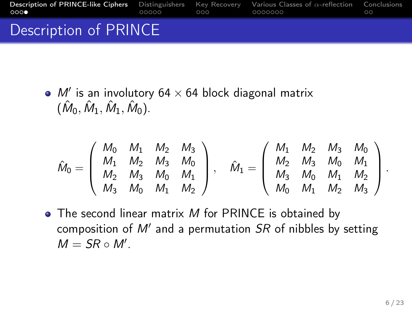| <b>Description of PRINCE-like Ciphers</b> Distinguishers Key Recovery Various Classes of $\alpha$ -reflection Conclusions<br>റററ | 00000 a | $\bigcirc$ $\bigcirc$ $\bigcirc$ | _0000000 | ററ |
|----------------------------------------------------------------------------------------------------------------------------------|---------|----------------------------------|----------|----|
| Description of PRINCE                                                                                                            |         |                                  |          |    |

 $M'$  is an involutory 64  $\times$  64 block diagonal matrix  $(\hat{M}_0, \hat{M}_1, \hat{M}_1, \hat{M}_0).$ 

$$
\hat{M}_0 = \left( \begin{array}{cccc} M_0 & M_1 & M_2 & M_3 \\ M_1 & M_2 & M_3 & M_0 \\ M_2 & M_3 & M_0 & M_1 \\ M_3 & M_0 & M_1 & M_2 \end{array} \right), \quad \hat{M}_1 = \left( \begin{array}{cccc} M_1 & M_2 & M_3 & M_0 \\ M_2 & M_3 & M_0 & M_1 \\ M_3 & M_0 & M_1 & M_2 \\ M_0 & M_1 & M_2 & M_3 \end{array} \right).
$$

 $\bullet$  The second linear matrix M for PRINCE is obtained by composition of  $M'$  and a permutation  $SR$  of nibbles by setting  $M = SR \circ M'.$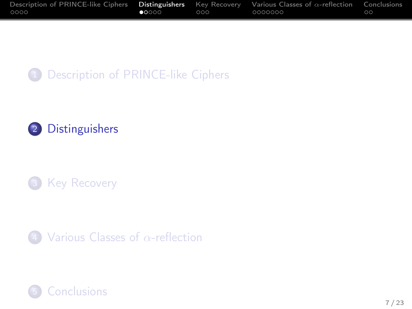| Description of PRINCE-like Ciphers <b>Distinguishers</b> Key Recovery Various Classes of $\alpha$ -reflection |       |     |         | Conclusions |
|---------------------------------------------------------------------------------------------------------------|-------|-----|---------|-------------|
| 0000                                                                                                          | 00000 | റററ | 0000000 | $\circ$ c   |









<span id="page-19-0"></span>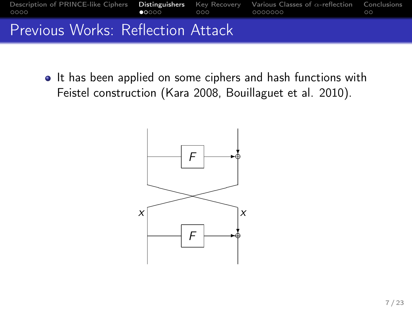

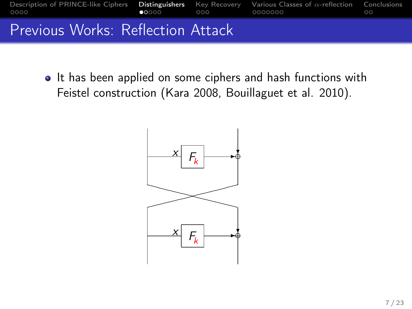

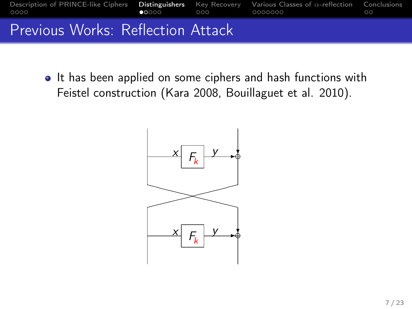

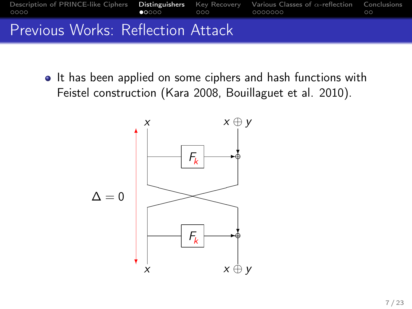

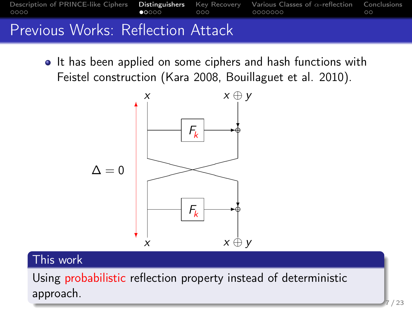



### This work

Using probabilistic reflection property instead of deterministic approach.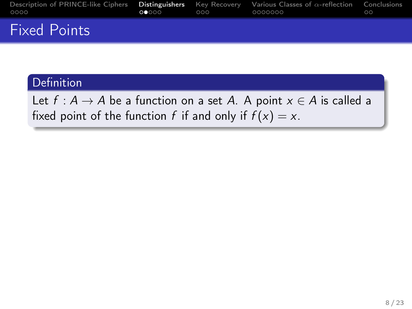| Description of PRINCE-like Ciphers <b>Distinguishers</b> Key Recovery Various Classes of $\alpha$ -reflection Conclusions<br>0000 | $\Omega$ 0.000 | $\Omega$ | 0000000 | ററ |
|-----------------------------------------------------------------------------------------------------------------------------------|----------------|----------|---------|----|
| <b>Fixed Points</b>                                                                                                               |                |          |         |    |

### Definition

Let  $f : A \rightarrow A$  be a function on a set A. A point  $x \in A$  is called a fixed point of the function f if and only if  $f(x) = x$ .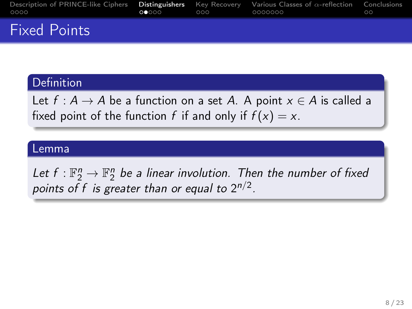| Description of PRINCE-like Ciphers Distinguishers Key Recovery Various Classes of $\alpha$ -reflection Conclusions<br>0000 | $\Omega$ 0000 $\Omega$ | $000-$ | 0000000 | ററ |
|----------------------------------------------------------------------------------------------------------------------------|------------------------|--------|---------|----|
| <b>Fixed Points</b>                                                                                                        |                        |        |         |    |

### **Definition**

Let  $f : A \rightarrow A$  be a function on a set A. A point  $x \in A$  is called a fixed point of the function f if and only if  $f(x) = x$ .

#### Lemma

Let  $f: \mathbb{F}_2^n \to \mathbb{F}_2^n$  be a linear involution. Then the number of fixed points of f is greater than or equal to  $2^{n/2}$ .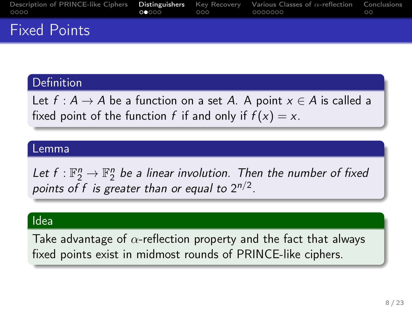| Description of PRINCE-like Ciphers Distinguishers Key Recovery Various Classes of $\alpha$ -reflection Conclusions<br>0000 | $\Omega$ 0000 $\Omega$ | $000-$ | 0000000 | ററ |
|----------------------------------------------------------------------------------------------------------------------------|------------------------|--------|---------|----|
| <b>Fixed Points</b>                                                                                                        |                        |        |         |    |

### **Definition**

Let  $f : A \rightarrow A$  be a function on a set A. A point  $x \in A$  is called a fixed point of the function f if and only if  $f(x) = x$ .

#### Lemma

Let  $f: \mathbb{F}_2^n \to \mathbb{F}_2^n$  be a linear involution. Then the number of fixed points of f is greater than or equal to  $2^{n/2}$ .

#### Idea

Take advantage of  $\alpha$ -reflection property and the fact that always fixed points exist in midmost rounds of PRINCE-like ciphers.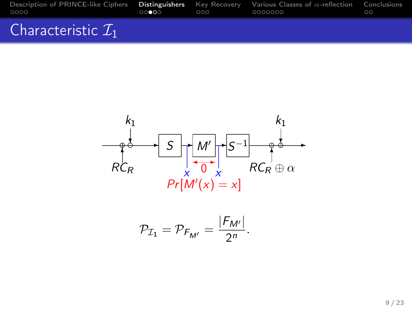| Description of PRINCE-like Ciphers <b>Distinguishers</b> Key Recovery Various Classes of $\alpha$ -reflection Conclusions<br>0000 | 00000 | റററ | 0000000 | $\circ$ |
|-----------------------------------------------------------------------------------------------------------------------------------|-------|-----|---------|---------|
| Characteristic $\mathcal{I}_1$                                                                                                    |       |     |         |         |



$$
\mathcal{P}_{\mathcal{I}_1}=\mathcal{P}_{F_{M'}}=\frac{|F_{M'}|}{2^n}.
$$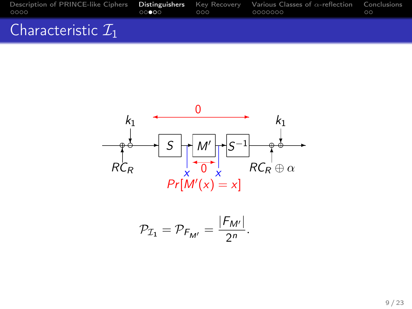| Description of PRINCE-like Ciphers <b>Distinguishers</b> Key Recovery Various Classes of $\alpha$ -reflection Conclusions<br>0000 | 00000 | റററ | 0000000 | $\circ$ |
|-----------------------------------------------------------------------------------------------------------------------------------|-------|-----|---------|---------|
| Characteristic $\mathcal{I}_1$                                                                                                    |       |     |         |         |



$$
\mathcal{P}_{\mathcal{I}_1}=\mathcal{P}_{F_{M'}}=\frac{|F_{M'}|}{2^n}.
$$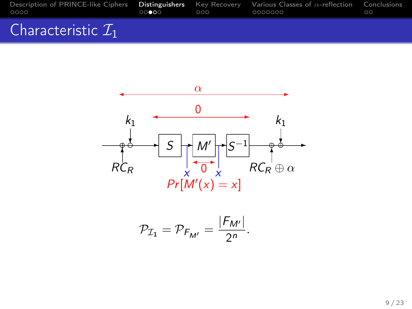| Description of PRINCE-like Ciphers <b>Distinguishers</b> Key Recovery Various Classes of $\alpha$ -reflection Conclusions<br>0000 | $-00000$ | റററ | 0000000 | ററ |
|-----------------------------------------------------------------------------------------------------------------------------------|----------|-----|---------|----|
| Characteristic $\mathcal{I}_1$                                                                                                    |          |     |         |    |



$$
\mathcal{P}_{\mathcal{I}_1}=\mathcal{P}_{F_{M'}}=\frac{|F_{M'}|}{2^n}.
$$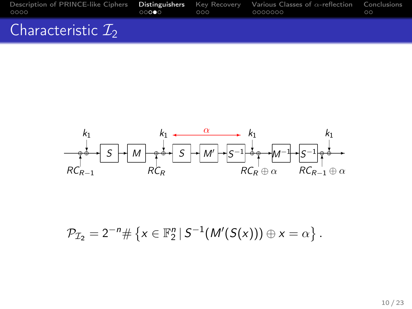| Description of PRINCE-like Ciphers <b>Distinguishers</b> Key Recovery Various Classes of $\alpha$ -reflection Conclusions<br>0000 | 00000 | റററ | 0000000 | $\circ$ |
|-----------------------------------------------------------------------------------------------------------------------------------|-------|-----|---------|---------|
| Characteristic $\mathcal{I}_2$                                                                                                    |       |     |         |         |



$$
\mathcal{P}_{\mathcal{I}_2}=2^{-n}\#\left\{x\in\mathbb{F}_2^n\,|\,S^{-1}(M'(S(x)))\oplus x=\alpha\right\}.
$$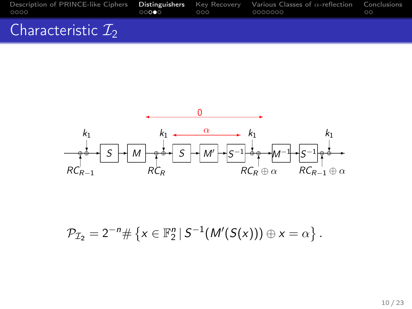| Description of PRINCE-like Ciphers <b>Distinguishers</b> Key Recovery Various Classes of $\alpha$ -reflection Conclusions<br>0000 | 00000 | $\Omega$ | 0000000 | 00 |
|-----------------------------------------------------------------------------------------------------------------------------------|-------|----------|---------|----|
| Characteristic $\mathcal{I}_2$                                                                                                    |       |          |         |    |



$$
\mathcal{P}_{\mathcal{I}_2}=2^{-n}\#\left\{x\in\mathbb{F}_2^n\,|\,S^{-1}(M'(S(x)))\oplus x=\alpha\right\}.
$$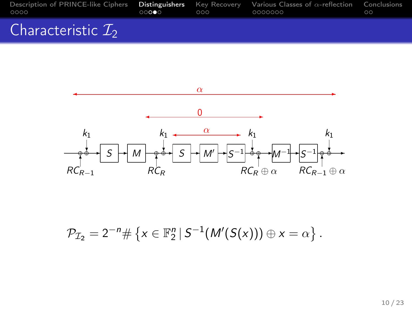| OOOO   |   | 00000 | $\overline{000}$ 00000000 | Description of PRINCE-like Ciphers <b>Distinguishers</b> Key Recovery Various Classes of $\alpha$ -reflection Conclusions | ററ |
|--------|---|-------|---------------------------|---------------------------------------------------------------------------------------------------------------------------|----|
| $\sim$ | . |       |                           |                                                                                                                           |    |

## Characteristic  $\mathcal{I}_2$



$$
\mathcal{P}_{\mathcal{I}_2}=2^{-n}\#\left\{x\in\mathbb{F}_2^n\,|\,S^{-1}(M'(S(x)))\oplus x=\alpha\right\}.
$$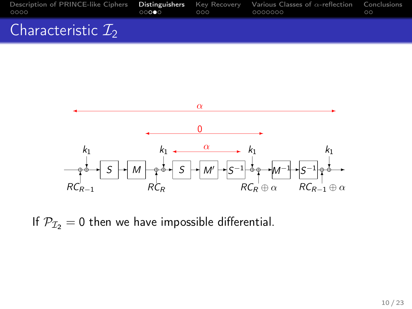| Description of PRINCE-like Ciphers <b>Distinguishers</b> Key Recovery Various Classes of $\alpha$ -reflection Conclusions<br>OOOO | 00000 | 000 | _0000000 | 00 |
|-----------------------------------------------------------------------------------------------------------------------------------|-------|-----|----------|----|
| Characteristic $\mathcal{I}_2$                                                                                                    |       |     |          |    |



If  $P_{I2} = 0$  then we have impossible differential.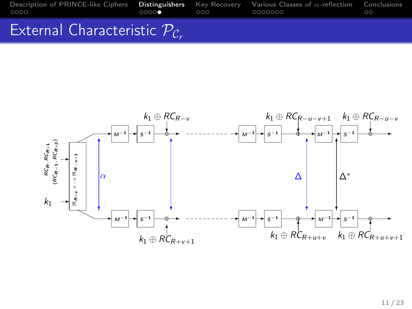## External Characteristic  $P_c$ .

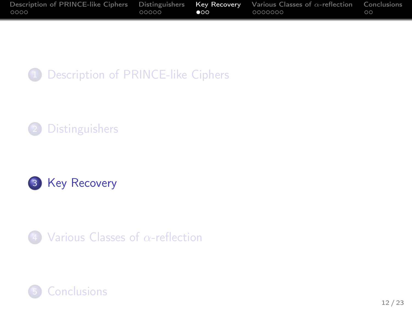| Description of PRINCE-like Ciphers Distinguishers Key Recovery Various Classes of $\alpha$ -reflection |       |           |           | Conclusions |
|--------------------------------------------------------------------------------------------------------|-------|-----------|-----------|-------------|
| 0000                                                                                                   | 00000 | $\bullet$ | - 0000000 | $\circ$     |









<span id="page-36-0"></span>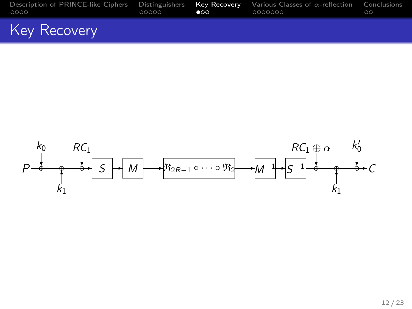| Description of PRINCE-like Ciphers Distinguishers Key Recovery Various Classes of $\alpha$ -reflection Conclusions<br>0000 | 00000 | $\bullet$ | 0000000 | 00 |
|----------------------------------------------------------------------------------------------------------------------------|-------|-----------|---------|----|
| Key Recovery                                                                                                               |       |           |         |    |

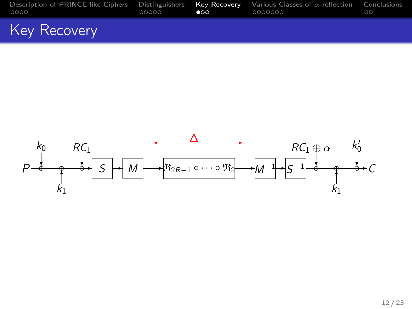| Description of PRINCE-like Ciphers Distinguishers Key Recovery Various Classes of $\alpha$ -reflection Conclusions<br>0000 | 00000 | $\bullet$ | 0000000 | 00 |
|----------------------------------------------------------------------------------------------------------------------------|-------|-----------|---------|----|
| Key Recovery                                                                                                               |       |           |         |    |

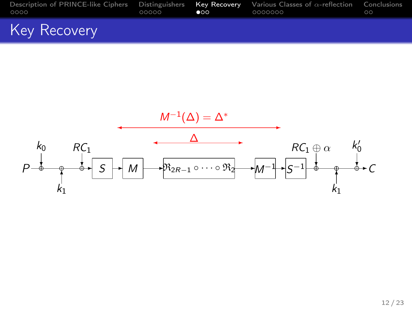| Description of PRINCE-like Ciphers Distinguishers Kev Recovery Various Classes of $\alpha$ -reflection Conclusions<br>0000 | $00000$ $\bullet$ 00 | 0000000 | ററ |
|----------------------------------------------------------------------------------------------------------------------------|----------------------|---------|----|
| Key Recovery                                                                                                               |                      |         |    |

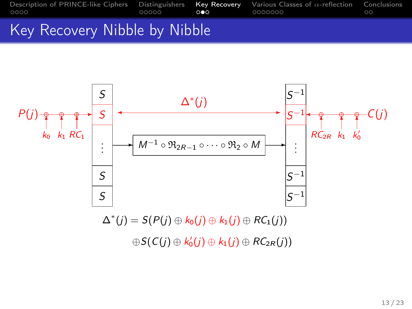## Key Recovery Nibble by Nibble



 $\oplus S(C(j) \oplus k'_0(j) \oplus k_1(j) \oplus RC_{2R}(j))$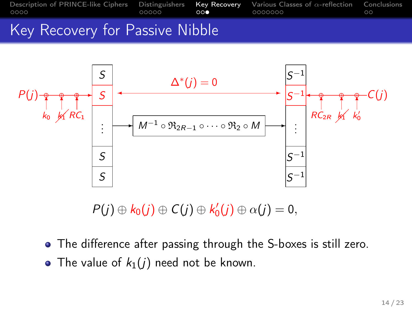

## Key Recovery for Passive Nibble



 $P(j) \oplus k_0(j) \oplus C(j) \oplus k'_0(j) \oplus \alpha(j) = 0,$ 

- The difference after passing through the S-boxes is still zero.
- The value of  $k_1(j)$  need not be known.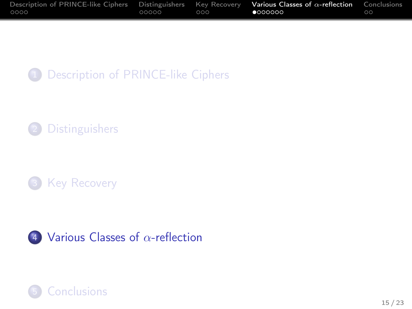| Description of PRINCE-like Ciphers Distinguishers Key Recovery |       |     | Various Classes of $\alpha$ -reflection | Conclusions |
|----------------------------------------------------------------|-------|-----|-----------------------------------------|-------------|
| 0000                                                           | 00000 | 000 | 000000                                  | ററ          |









<span id="page-42-0"></span>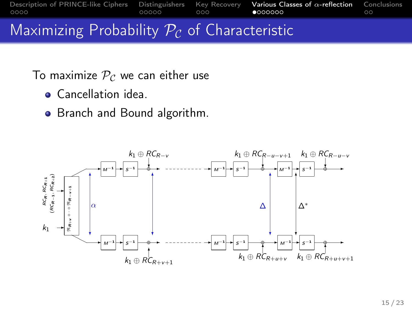[Description of PRINCE-like Ciphers](#page-2-0) [Distinguishers](#page-19-0) [Key Recovery](#page-36-0) **[Various Classes of](#page-42-0) α-reflection** [Conclusions](#page-57-0)<br>
00000 **0000 € 000000 € 000000** 

Maximizing Probability  $P_c$  of Characteristic

To maximize  $P<sub>C</sub>$  we can either use

- **Cancellation idea**
- Branch and Bound algorithm.

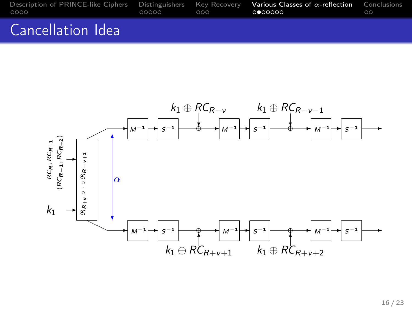| Description of PRINCE-like Ciphers Distinguishers Key Recovery Various Classes of $\alpha$ -reflection Conclusions<br>OOOO | 00000 | $\Omega$ | റ⊜ററററ | $\circ$ |
|----------------------------------------------------------------------------------------------------------------------------|-------|----------|--------|---------|
| Cancellation Idea                                                                                                          |       |          |        |         |

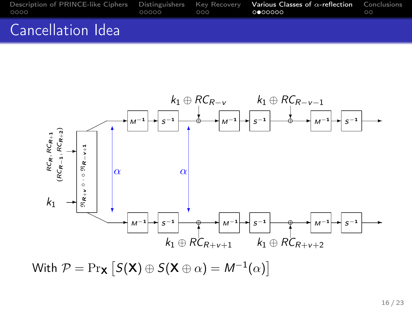| Description of PRINCE-like Ciphers Distinguishers Key Recovery Various Classes of $\alpha$ -reflection Conclusions<br>0000 | 00000 | റററ | റ⊜ററററ | $\circ$ |
|----------------------------------------------------------------------------------------------------------------------------|-------|-----|--------|---------|
| Cancellation Idea                                                                                                          |       |     |        |         |



With  $\mathcal{P} = \Pr_{\mathbf{X}} [S(\mathbf{X}) \oplus S(\mathbf{X} \oplus \alpha) = M^{-1}(\alpha)]$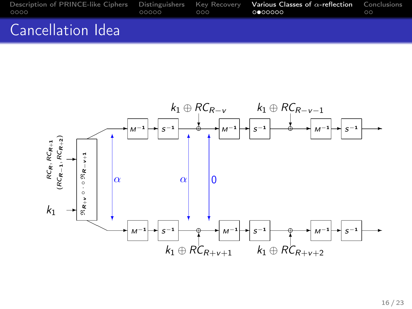| Description of PRINCE-like Ciphers Distinguishers Key Recovery Various Classes of $\alpha$ -reflection Conclusions<br>0000 | 00000 000 <b>000000</b> | ററ |
|----------------------------------------------------------------------------------------------------------------------------|-------------------------|----|
| Cancellation Idea                                                                                                          |                         |    |



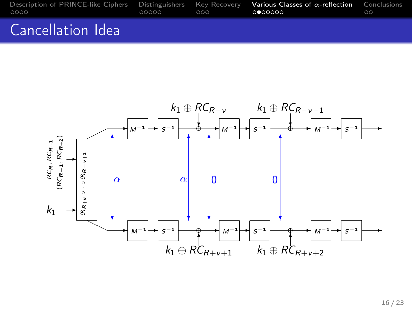| Description of PRINCE-like Ciphers Distinguishers Key Recovery Various Classes of $\alpha$ -reflection Conclusions<br>0000 | 00000 | $\Omega$ | <b>. റൈറററ</b> | ററ |
|----------------------------------------------------------------------------------------------------------------------------|-------|----------|----------------|----|
| Cancellation Idea                                                                                                          |       |          |                |    |

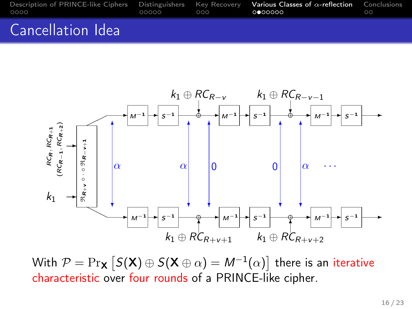| Description of PRINCE-like Ciphers Distinguishers Key Recovery Various Classes of $\alpha$ -reflection Conclusions<br>0000 | 00000 | റററ | റ⊜ററററ | $\circ$ |
|----------------------------------------------------------------------------------------------------------------------------|-------|-----|--------|---------|
| Cancellation Idea                                                                                                          |       |     |        |         |



With  $\mathcal{P}=\Pr_{\mathsf{X}}\left[S(\mathsf{X})\oplus S(\mathsf{X}\oplus\alpha)=M^{-1}(\alpha)\right]$  there is an iterative characteristic over four rounds of a PRINCE-like cipher.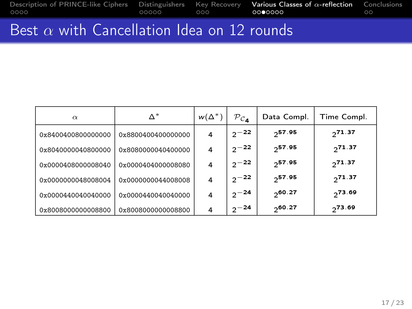[Description of PRINCE-like Ciphers](#page-2-0) [Distinguishers](#page-19-0) [Key Recovery](#page-36-0) **[Various Classes of](#page-42-0) α-reflection** [Conclusions](#page-57-0)<br>0000 0000 0000 000 000 000 000 00

# Best  $\alpha$  with Cancellation Idea on 12 rounds

| $\alpha$           | $\Delta^*$         | $w(\Delta^*)$ | $P_{c_A}$ | Data Compl. | Time Compl. |
|--------------------|--------------------|---------------|-----------|-------------|-------------|
| 0x8400400800000000 | 0x8800400400000000 | 4             | $2^{-22}$ | $2^{57.95}$ | 271.37      |
| 0x8040000040800000 | 0x8080000040400000 | 4             | $2^{-22}$ | 257.95      | 271.37      |
| 0x0000408000008040 | 0x0000404000008080 | 4             | $2^{-22}$ | 257.95      | 271.37      |
| 0x0000000048008004 | 0x0000000044008008 | 4             | $2^{-22}$ | 257.95      | 271.37      |
| 0x0000440040040000 | 0x0000440040040000 | 4             | $2^{-24}$ | 20.27       | 273.69      |
| 0x8008000000008800 | 0x8008000000008800 | 4             | $2^{-24}$ | 20.27       | 273.69      |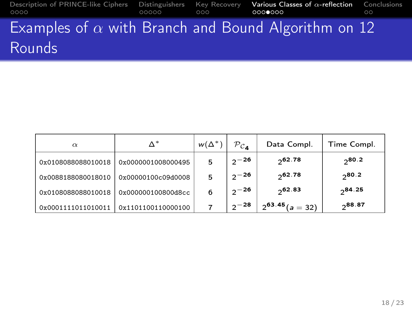[Description of PRINCE-like Ciphers](#page-2-0) [Distinguishers](#page-19-0) [Key Recovery](#page-36-0) **[Various Classes of](#page-42-0) α-reflection** [Conclusions](#page-57-0)<br>
00000 000**000 0000000** 000 Examples of  $\alpha$  with Branch and Bound Algorithm on 12 Rounds

| $\alpha$           | Λ*                 | $w(\Delta^*)$ | $P_{c_{\mathbf{A}}}$ | Data Compl.          | Time Compl. |
|--------------------|--------------------|---------------|----------------------|----------------------|-------------|
| 0x0108088088010018 | 0x0000001008000495 | 5             | $2^{-26}$            | 20.78                | $2^{80.2}$  |
| 0x0088188080018010 | 0x00000100c09d0008 | 5             | $2^{-26}$            | 20.78                | $2^{80.2}$  |
| 0x0108088088010018 | 0x000000100800d8cc | 6             | $2^{-26}$            | 2.83                 | $2^{84.25}$ |
| 0x0001111011010011 | 0x1101100110000100 |               | $2^{-28}$            | $2^{63.45}$ (a = 32) | ე88.87      |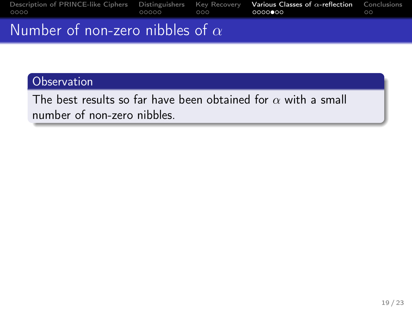| Description of PRINCE-like Ciphers Distinguishers Key Recovery Various Classes of $\alpha$ -reflection Conclusions<br>0000 | 00000 | $\sim$ 0.00 | 0000000 | ററ |
|----------------------------------------------------------------------------------------------------------------------------|-------|-------------|---------|----|
| Number of non-zero nibbles of $\alpha$                                                                                     |       |             |         |    |

The best results so far have been obtained for  $\alpha$  with a small number of non-zero nibbles.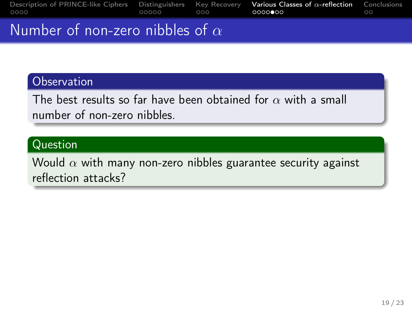| Description of PRINCE-like Ciphers Distinguishers Key Recovery Various Classes of $\alpha$ -reflection Conclusions<br>0000 | 00000 | $-000$ | 0000000 | ററ |
|----------------------------------------------------------------------------------------------------------------------------|-------|--------|---------|----|
| Number of non-zero nibbles of $\alpha$                                                                                     |       |        |         |    |

The best results so far have been obtained for  $\alpha$  with a small number of non-zero nibbles.

### Question

Would  $\alpha$  with many non-zero nibbles guarantee security against reflection attacks?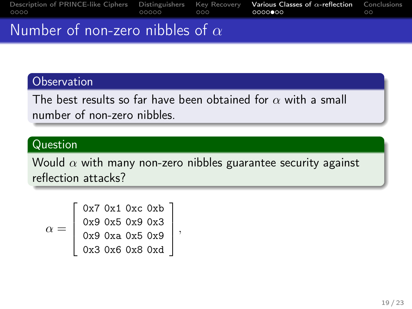| Description of PRINCE-like Ciphers Distinguishers Key Recovery Various Classes of $\alpha$ -reflection Conclusions<br>0000 | 00000 | $-000$ | 0000000 | ററ |
|----------------------------------------------------------------------------------------------------------------------------|-------|--------|---------|----|
| Number of non-zero nibbles of $\alpha$                                                                                     |       |        |         |    |

The best results so far have been obtained for  $\alpha$  with a small number of non-zero nibbles.

### Question

Would  $\alpha$  with many non-zero nibbles guarantee security against reflection attacks?

$$
\alpha = \left[\begin{array}{c} 0x7 & 0x1 & 0xc & 0xb \\ 0x9 & 0x5 & 0x3 & 0x3 \\ 0x9 & 0xa & 0x5 & 0x9 \\ 0x3 & 0x6 & 0x8 & 0xd \end{array}\right],
$$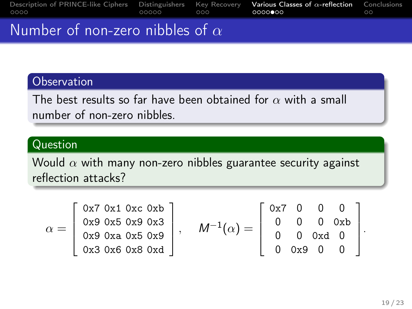| Description of PRINCE-like Ciphers Distinguishers Key Recovery Various Classes of $\alpha$ -reflection Conclusions<br>0000 | $-000$ | 0000000 | 00 |
|----------------------------------------------------------------------------------------------------------------------------|--------|---------|----|
| Number of non-zero nibbles of $\alpha$                                                                                     |        |         |    |

The best results so far have been obtained for  $\alpha$  with a small number of non-zero nibbles.

### Question

Would  $\alpha$  with many non-zero nibbles guarantee security against reflection attacks?

$$
\alpha = \left[\begin{array}{l} 0x7 & 0x1 & 0xc & 0xb \\ 0x9 & 0x5 & 0x9 & 0x3 \\ 0x3 & 0x6 & 0x5 & 0x9 \\ 0x3 & 0x6 & 0x8 & 0xd \end{array}\right], \quad M^{-1}(\alpha) = \left[\begin{array}{l} 0x7 & 0 & 0 & 0 \\ 0 & 0 & 0 & 0xb \\ 0 & 0 & 0xd & 0 \\ 0 & 0x9 & 0 & 0 \end{array}\right].
$$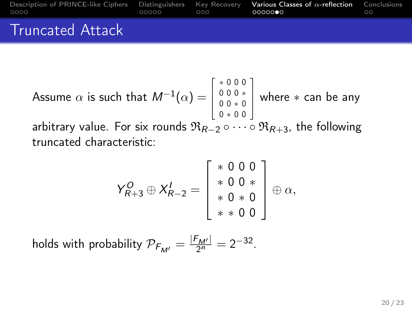| Description of PRINCE-like Ciphers Distinguishers Key Recovery Various Classes of $\alpha$ -reflection Conclusions<br>0000 | 00000 | റററ | െറെ <b>െ</b> െ | ററ |
|----------------------------------------------------------------------------------------------------------------------------|-------|-----|----------------|----|
| <b>Truncated Attack</b>                                                                                                    |       |     |                |    |

Assume 
$$
\alpha
$$
 is such that  $M^{-1}(\alpha) = \begin{bmatrix} * & 0 & 0 & 0 \\ 0 & 0 & 0 & * \\ 0 & * & 0 & 0 \end{bmatrix}$  where  $*$  can be any arbitrary value. For six rounds  $\Re_{R-2} \circ \cdots \circ \Re_{R+3}$ , the following truncated characteristic:

$$
Y_{R+3}^O \oplus X_{R-2}^I = \left[ \begin{array}{c} * & 0 & 0 & 0 \\ * & 0 & 0 & * \\ * & 0 & * & 0 \\ * & * & 0 & 0 \end{array} \right] \oplus \alpha,
$$

holds with probability  $\mathcal{P}_{F_{\mathcal{M}'}} = \frac{|F_{\mathcal{M}'}|}{2^n} = 2^{-32}$ .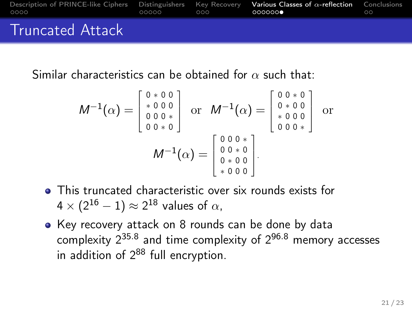| Description of PRINCE-like Ciphers Distinguishers Key Recovery Various Classes of $\alpha$ -reflection Conclusions<br>0000 | 00000 | റററ | റററററ <b>⊜</b> |  |
|----------------------------------------------------------------------------------------------------------------------------|-------|-----|----------------|--|
| <b>Truncated Attack</b>                                                                                                    |       |     |                |  |

Similar characteristics can be obtained for  $\alpha$  such that:

$$
M^{-1}(\alpha) = \begin{bmatrix} 0 & * & 0 & 0 \\ * & 0 & 0 & 0 \\ 0 & 0 & 0 & * \\ 0 & 0 & * & 0 \end{bmatrix} \text{ or } M^{-1}(\alpha) = \begin{bmatrix} 0 & 0 & * & 0 \\ 0 & * & 0 & 0 \\ * & 0 & 0 & 0 \\ 0 & 0 & 0 & * \end{bmatrix} \text{ or } M^{-1}(\alpha) = \begin{bmatrix} 0 & 0 & * & 0 \\ 0 & * & 0 & 0 \\ 0 & 0 & 0 & * \\ * & 0 & 0 & 0 \end{bmatrix}.
$$

- This truncated characteristic over six rounds exists for 4  $\times$  (2 $^{16} - 1) \approx$  2 $^{18}$  values of  $\alpha$ ,
- Key recovery attack on 8 rounds can be done by data complexity  $2^{35.8}$  and time complexity of  $2^{96.8}$  memory accesses in addition of  $2^{88}$  full encryption.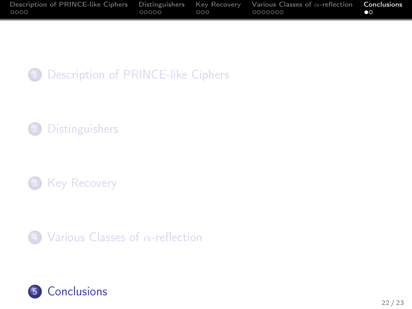| Description of PRINCE-like Ciphers Distinguishers Key Recovery Various Classes of $\alpha$ -reflection |       |     |         | Conclusions |
|--------------------------------------------------------------------------------------------------------|-------|-----|---------|-------------|
| 0000                                                                                                   | 00000 | റററ | 0000000 | $\bullet$   |









<span id="page-57-0"></span>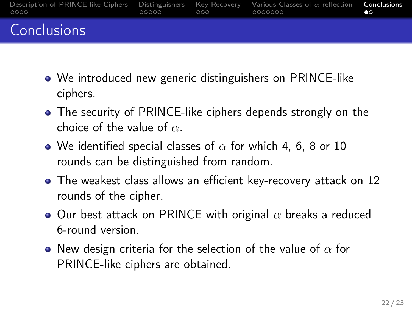| Description of PRINCE-like Ciphers Distinguishers Key Recovery Various Classes of $\alpha$ -reflection <b>Conclusions</b><br>0000 | 00000 | $\Omega$ | - 0000000 | œ |
|-----------------------------------------------------------------------------------------------------------------------------------|-------|----------|-----------|---|
| Conclusions                                                                                                                       |       |          |           |   |

- We introduced new generic distinguishers on PRINCE-like ciphers.
- The security of PRINCE-like ciphers depends strongly on the choice of the value of  $\alpha$ .
- We identified special classes of  $\alpha$  for which 4, 6, 8 or 10 rounds can be distinguished from random.
- The weakest class allows an efficient key-recovery attack on 12 rounds of the cipher.
- $\bullet$  Our best attack on PRINCE with original  $\alpha$  breaks a reduced 6-round version.
- New design criteria for the selection of the value of  $\alpha$  for PRINCE-like ciphers are obtained.